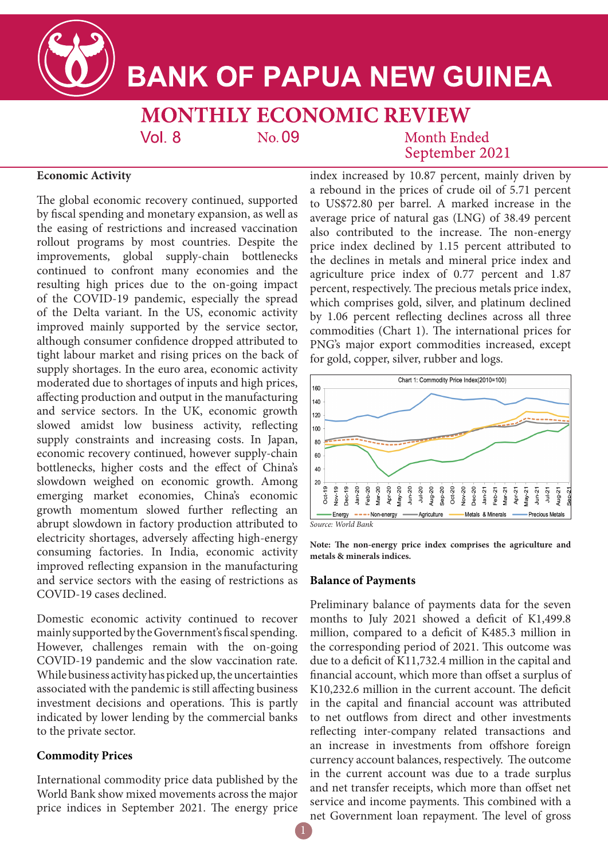

# **BANK OF PAPUA NEW GUINEA**

#### **MONTHLY ECONOMIC REVIEW**  $Vol_8$ No. 09

# **Month Ended** September 2021

# **Economic Activity**

The global economic recovery continued, supported by fiscal spending and monetary expansion, as well as the easing of restrictions and increased vaccination rollout programs by most countries. Despite the improvements, global supply-chain bottlenecks continued to confront many economies and the resulting high prices due to the on-going impact of the COVID-19 pandemic, especially the spread of the Delta variant. In the US, economic activity improved mainly supported by the service sector, although consumer confidence dropped attributed to tight labour market and rising prices on the back of supply shortages. In the euro area, economic activity moderated due to shortages of inputs and high prices, affecting production and output in the manufacturing and service sectors. In the UK, economic growth slowed amidst low business activity, reflecting supply constraints and increasing costs. In Japan, economic recovery continued, however supply-chain bottlenecks, higher costs and the effect of China's slowdown weighed on economic growth. Among emerging market economies, China's economic growth momentum slowed further reflecting an abrupt slowdown in factory production attributed to electricity shortages, adversely affecting high-energy consuming factories. In India, economic activity improved reflecting expansion in the manufacturing and service sectors with the easing of restrictions as COVID-19 cases declined.

Domestic economic activity continued to recover mainly supported by the Government's fiscal spending. However, challenges remain with the on-going COVID-19 pandemic and the slow vaccination rate. While business activity has picked up, the uncertainties associated with the pandemic is still affecting business investment decisions and operations. This is partly indicated by lower lending by the commercial banks to the private sector.

#### **Commodity Prices**

International commodity price data published by the World Bank show mixed movements across the major price indices in September 2021. The energy price index increased by 10.87 percent, mainly driven by a rebound in the prices of crude oil of 5.71 percent to US\$72.80 per barrel. A marked increase in the average price of natural gas (LNG) of 38.49 percent also contributed to the increase. The non-energy price index declined by 1.15 percent attributed to the declines in metals and mineral price index and agriculture price index of 0.77 percent and 1.87 percent, respectively. The precious metals price index, which comprises gold, silver, and platinum declined by 1.06 percent reflecting declines across all three commodities (Chart 1). The international prices for PNG's major export commodities increased, except for gold, copper, silver, rubber and logs.



*Source: World Bank*

**Note: The non-energy price index comprises the agriculture and metals & minerals indices.** 

#### **Balance of Payments**

Preliminary balance of payments data for the seven months to July 2021 showed a deficit of K1,499.8 million, compared to a deficit of K485.3 million in the corresponding period of 2021. This outcome was due to a deficit of K11,732.4 million in the capital and financial account, which more than offset a surplus of K10,232.6 million in the current account. The deficit in the capital and financial account was attributed to net outflows from direct and other investments reflecting inter-company related transactions and an increase in investments from offshore foreign currency account balances, respectively. The outcome in the current account was due to a trade surplus and net transfer receipts, which more than offset net service and income payments. This combined with a net Government loan repayment. The level of gross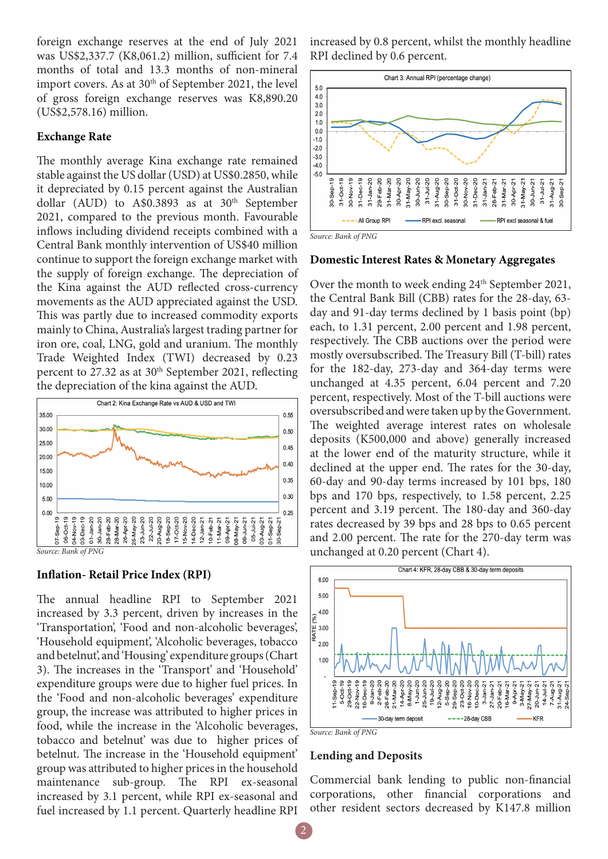foreign exchange reserves at the end of July 2021 was US\$2,337.7 (K8,061.2) million, sufficient for 7.4 months of total and 13.3 months of non-mineral import covers. As at  $30<sup>th</sup>$  of September 2021, the level of gross foreign exchange reserves was K8,890.20 (US\$2,578.16) million.

#### **Exchange Rate**

The monthly average Kina exchange rate remained stable against the US dollar (USD) at US\$0.2850, while it depreciated by 0.15 percent against the Australian dollar (AUD) to A\$0.3893 as at  $30<sup>th</sup>$  September 2021, compared to the previous month. Favourable inflows including dividend receipts combined with a Central Bank monthly intervention of US\$40 million continue to support the foreign exchange market with the supply of foreign exchange. The depreciation of the Kina against the AUD reflected cross-currency movements as the AUD appreciated against the USD. This was partly due to increased commodity exports mainly to China, Australia's largest trading partner for iron ore, coal, LNG, gold and uranium. The monthly Trade Weighted Index (TWI) decreased by 0.23 percent to 27.32 as at 30<sup>th</sup> September 2021, reflecting the depreciation of the kina against the AUD.



### **Inflation- Retail Price Index (RPI)**

The annual headline RPI to September 2021 increased by 3.3 percent, driven by increases in the 'Transportation', 'Food and non-alcoholic beverages', 'Household equipment', 'Alcoholic beverages, tobacco and betelnut', and 'Housing' expenditure groups (Chart 3). The increases in the 'Transport' and 'Household' expenditure groups were due to higher fuel prices. In the 'Food and non-alcoholic beverages' expenditure group, the increase was attributed to higher prices in food, while the increase in the 'Alcoholic beverages, tobacco and betelnut' was due to higher prices of betelnut. The increase in the 'Household equipment' group was attributed to higher prices in the household maintenance sub-group. The RPI ex-seasonal increased by 3.1 percent, while RPI ex-seasonal and fuel increased by 1.1 percent. Quarterly headline RPI

increased by 0.8 percent, whilst the monthly headline RPI declined by 0.6 percent.





#### **Domestic Interest Rates & Monetary Aggregates**

Over the month to week ending 24<sup>th</sup> September 2021, the Central Bank Bill (CBB) rates for the 28-day, 63 day and 91-day terms declined by 1 basis point (bp) each, to 1.31 percent, 2.00 percent and 1.98 percent, respectively. The CBB auctions over the period were mostly oversubscribed. The Treasury Bill (T-bill) rates for the 182-day, 273-day and 364-day terms were unchanged at 4.35 percent, 6.04 percent and 7.20 percent, respectively. Most of the T-bill auctions were oversubscribed and were taken up by the Government. The weighted average interest rates on wholesale deposits (K500,000 and above) generally increased at the lower end of the maturity structure, while it declined at the upper end. The rates for the 30-day, 60-day and 90-day terms increased by 101 bps, 180 bps and 170 bps, respectively, to 1.58 percent, 2.25 percent and 3.19 percent. The 180-day and 360-day rates decreased by 39 bps and 28 bps to 0.65 percent and 2.00 percent. The rate for the 270-day term was unchanged at 0.20 percent (Chart 4).





#### **Lending and Deposits**

Commercial bank lending to public non-financial corporations, other financial corporations and other resident sectors decreased by K147.8 million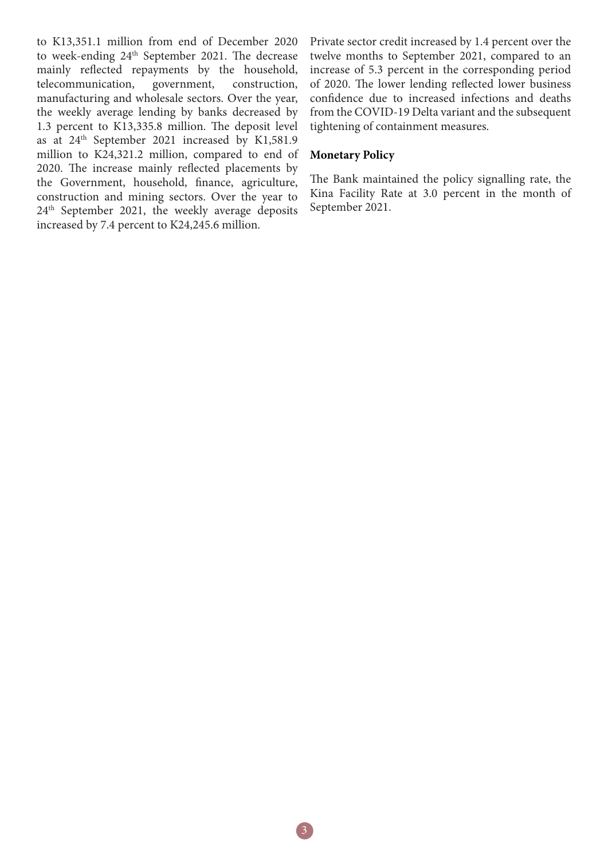to K13,351.1 million from end of December 2020 to week-ending 24<sup>th</sup> September 2021. The decrease mainly reflected repayments by the household, telecommunication, government, construction, manufacturing and wholesale sectors. Over the year, the weekly average lending by banks decreased by 1.3 percent to K13,335.8 million. The deposit level as at 24th September 2021 increased by K1,581.9 million to K24,321.2 million, compared to end of 2020. The increase mainly reflected placements by the Government, household, finance, agriculture, construction and mining sectors. Over the year to 24<sup>th</sup> September 2021, the weekly average deposits increased by 7.4 percent to K24,245.6 million.

Private sector credit increased by 1.4 percent over the twelve months to September 2021, compared to an increase of 5.3 percent in the corresponding period of 2020. The lower lending reflected lower business confidence due to increased infections and deaths from the COVID-19 Delta variant and the subsequent tightening of containment measures.

## **Monetary Policy**

The Bank maintained the policy signalling rate, the Kina Facility Rate at 3.0 percent in the month of September 2021.